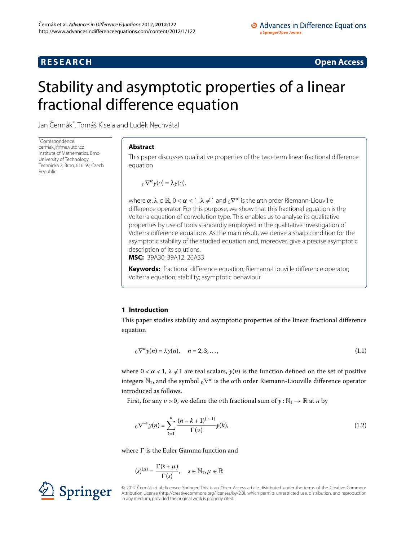## **RESEARCH CONSIDERED ACCESS**

# <span id="page-0-0"></span>Stability and asymptotic properties of a linear fractional difference equation

Jan Čermák<sup>[\\*](#page-0-0)</sup>, Tomáš Kisela and Luděk Nechvátal

\* Correspondence: [cermak.j@fme.vutbr.cz](mailto:cermak.j@fme.vutbr.cz) Institute of Mathematics, Brno University of Technology, Technická 2, Brno, 616 69, Czech Republic

#### **Abstract**

This paper discusses qualitative properties of the two-term linear fractional difference equation

$$
{}_{0}\nabla^{\alpha}y(n)=\lambda y(n),
$$

where  $\alpha$ ,  $\lambda \in \mathbb{R}$ ,  $0 < \alpha < 1$ ,  $\lambda \neq 1$  and  $0<sub>0</sub>abla^{\alpha}$  is the  $\alpha$ th order Riemann-Liouville difference operator. For this purpose, we show that this fractional equation is the Volterra equation of convolution type. This enables us to analyse its qualitative properties by use of tools standardly employed in the qualitative investigation of Volterra difference equations. As the main result, we derive a sharp condition for the asymptotic stability of the studied equation and, moreover, give a precise asymptotic description of its solutions.

**MSC:** 39A30; 39A12; 26A33

<span id="page-0-2"></span>**Keywords:** fractional difference equation; Riemann-Liouville difference operator; Volterra equation; stability; asymptotic behaviour

#### **1 Introduction**

This paper studies stability and asymptotic properties of the linear fractional difference equation

<span id="page-0-1"></span>
$$
{}_{0}\nabla^{\alpha}y(n)=\lambda y(n), \quad n=2,3,\ldots,
$$
\n(1.1)

where  $0 < \alpha < 1$ ,  $\lambda \neq 1$  are real scalars,  $y(n)$  is the function defined on the set of positive integers  $\mathbb{N}_1$ , and the symbol  $\delta \nabla^{\alpha}$  is the *α*th order Riemann-Liouville difference operator introduced as follows.

First, for any  $v > 0$ , we define the *ν*th fractional sum of  $\gamma : \mathbb{N}_1 \to \mathbb{R}$  at *n* by

$$
{}_{0}\nabla^{-\nu}y(n)=\sum_{k=1}^{n}\frac{(n-k+1)^{(\nu-1)}}{\Gamma(\nu)}y(k),\qquad(1.2)
$$

where  $\Gamma$  is the Euler Gamma function and

$$
(s)^{(\mu)} = \frac{\Gamma(s+\mu)}{\Gamma(s)}, \quad s \in \mathbb{N}_1, \mu \in \mathbb{R}
$$



© 2012 Cermák et al.; licensee Springer. This is an Open Access article distributed under the terms of the Creative Commons ˇ Attribution License [\(http://creativecommons.org/licenses/by/2.0](http://creativecommons.org/licenses/by/2.0)), which permits unrestricted use, distribution, and reproduction in any medium, provided the original work is properly cited.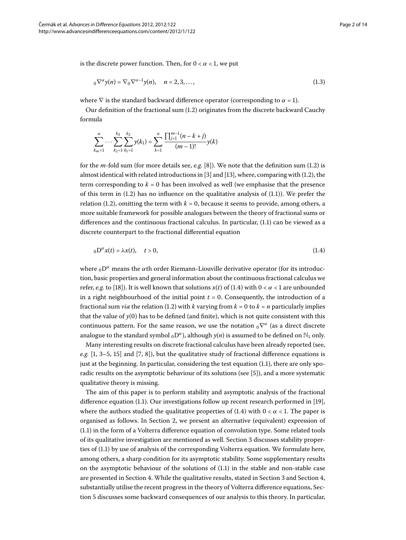is the discrete power function. Then, for  $0 < \alpha < 1$ , we put

$$
{}_{0}\nabla^{\alpha}y(n)=\nabla_{0}\nabla^{\alpha-1}y(n), \quad n=2,3,\ldots,
$$
\n(1.3)

where  $\nabla$  is the standard backward difference operator (corresponding to  $\alpha = 1$ ).

Our definition of the fractional sum (1[.](#page-0-1)2) originates from the discrete backward Cauchy formula

<span id="page-1-0"></span>
$$
\sum_{k_m=1}^n \cdots \sum_{k_2=1}^{k_3} \sum_{k_1=1}^{k_2} y(k_1) = \sum_{k=1}^n \frac{\prod_{j=1}^{m-1} (n-k+j)}{(m-1)!} y(k)
$$

for the  $m$ -fold sum (for more details see,  $e.g.$  $e.g.$  $e.g.$  [8[\]](#page-12-0)). We note that the definition sum (1.2) is almost identical with related introductions in  $[3]$  $[3]$  and  $[13]$ , where, comparing with  $(1.2)$  $(1.2)$  $(1.2)$ , the term corresponding to  $k = 0$  has been involved as well (we emphasise that the presence of this term in  $(1.2)$  $(1.2)$  $(1.2)$  has no influence on the qualitative analysis of  $(1.1)$ ). We prefer the relation (1[.](#page-0-1)2), omitting the term with  $k = 0$ , because it seems to provide, among others, a more suitable framework for possible analogues between the theory of fractional sums or differences and the continuous fractional calculus[.](#page-0-2) In particular,  $(1.1)$  can be viewed as a discrete counterpart to the fractional differential equation

$$
{}_{0}\mathcal{D}^{\alpha}x(t) = \lambda x(t), \quad t > 0,
$$
\n(1.4)

where  $_0D^{\alpha}$  means the  $\alpha$ th order Riemann-Liouville derivative operator (for its introduction, basic properties and general information about the continuous fractional calculus we refer, *e[.](#page-1-0)g.* to [18[\]](#page-13-0)). It is well known that solutions  $x(t)$  of (1.4) with  $0 < \alpha < 1$  are unbounded in a right neighbourhood of the initial point  $t = 0$ . Consequently, the introduction of a fractional sum *via* the relation (1.2) with *k* varying from  $k = 0$  to  $k = n$  particularly implies that the value of  $y(0)$  has to be defined (and finite), which is not quite consistent with this continuous pattern. For the same reason, we use the notation <sub>0</sub>  $\nabla^{\alpha}$  (as a direct discrete analogue to the standard symbol  $_0D^{\alpha}$ ), although  $y(n)$  is assumed to be defined on  $\mathbb{N}_1$  only.

Many interesting results on discrete fractional calculus have been already reported (see, *e.g.* [1, 3[–](#page-12-1)5, 15[\]](#page-12-0) and [7[,](#page-12-6) 8]), but the qualitative study of fractional difference equations is just at the beginning. In particular, considering the test equation  $(1.1)$ , there are only sporadic results on the asymptotic behaviour of its solutions (see [5]), and a more systematic qualitative theory is missing.

The aim of this paper is to perform stability and asymptotic analysis of the fractional difference equation (1[.](#page-0-2)1). Our investigations follow up recent research performed in  $[19]$  $[19]$ , where the authors studied the qualitative properties of  $(1.4)$  $(1.4)$  $(1.4)$  with  $0 < \alpha < 1$ . The paper is organised as follows. In Section 2[,](#page-2-0) we present an alternative (equivalent) expression of  $(1.1)$  $(1.1)$  $(1.1)$  in the form of a Volterra difference equation of convolution type. Some related tools of its qualitative investigation are mentioned as well. Section 3 discusses stability properties of  $(1.1)$  $(1.1)$  $(1.1)$  by use of analysis of the corresponding Volterra equation. We formulate here, among others, a sharp condition for its asymptotic stability. Some supplementary results on the asymptotic behaviour of the solutions of  $(1.1)$  in the stable and non-stable case are presented in Section 4. While the qualitative results[,](#page-7-0) stated in Section 3 and Section 4, substantially utilise the recent progress in the theory of Volterra difference equations, Section 5 discusses some backward consequences of our analysis to this theory. In particular,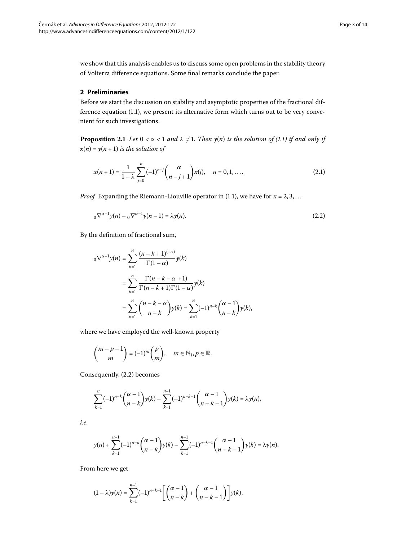<span id="page-2-3"></span><span id="page-2-0"></span>we show that this analysis enables us to discuss some open problems in the stability theory of Volterra difference equations. Some final remarks conclude the paper.

#### **2 Preliminaries**

Before we start the discussion on stability and asymptotic properties of the fractional difference equation  $(1.1)$  $(1.1)$  $(1.1)$ , we present its alternative form which turns out to be very convenient for such investigations.

**Proposition 2.1** *Let*  $0 < \alpha < 1$  *and*  $\lambda \neq 1$ *. Then*  $y(n)$  *is the solution of (1.1) if and only if*  $x(n) = y(n + 1)$  *is the solution of* 

<span id="page-2-2"></span><span id="page-2-1"></span>
$$
x(n+1) = \frac{1}{1-\lambda} \sum_{j=0}^{n} (-1)^{n-j} { \alpha \choose n-j+1} x(j), \quad n = 0, 1, .... \tag{2.1}
$$

*Proof* Expanding the Riemann-Liouville operator in (1[.](#page-0-2)1), we have for  $n = 2, 3, \ldots$ 

$$
{}_{0}\nabla^{\alpha-1}y(n) - {}_{0}\nabla^{\alpha-1}y(n-1) = \lambda y(n). \tag{2.2}
$$

By the definition of fractional sum,

$$
{}_{0}\nabla^{\alpha-1}y(n) = \sum_{k=1}^{n} \frac{(n-k+1)^{(-\alpha)}}{\Gamma(1-\alpha)}y(k)
$$
  
= 
$$
\sum_{k=1}^{n} \frac{\Gamma(n-k-\alpha+1)}{\Gamma(n-k+1)\Gamma(1-\alpha)}y(k)
$$
  
= 
$$
\sum_{k=1}^{n} {n-k-\alpha \choose n-k}y(k) = \sum_{k=1}^{n} (-1)^{n-k} {(\alpha-1) \choose n-k}y(k),
$$

where we have employed the well-known property

$$
\binom{m-p-1}{m} = (-1)^m \binom{p}{m}, \quad m \in \mathbb{N}_1, p \in \mathbb{R}.
$$

Consequently, (2[.](#page-2-1)2) becomes

$$
\sum_{k=1}^{n}(-1)^{n-k}\binom{\alpha-1}{n-k}y(k)-\sum_{k=1}^{n-1}(-1)^{n-k-1}\binom{\alpha-1}{n-k-1}y(k)=\lambda y(n),
$$

*i.e.*

$$
y(n) + \sum_{k=1}^{n-1} (-1)^{n-k} {\alpha-1 \choose n-k} y(k) - \sum_{k=1}^{n-1} (-1)^{n-k-1} {\alpha-1 \choose n-k-1} y(k) = \lambda y(n).
$$

From here we get

$$
(1-\lambda)y(n)=\sum_{k=1}^{n-1}(-1)^{n-k-1}\Bigg[\binom{\alpha-1}{n-k}+\binom{\alpha-1}{n-k-1}\Bigg]y(k),
$$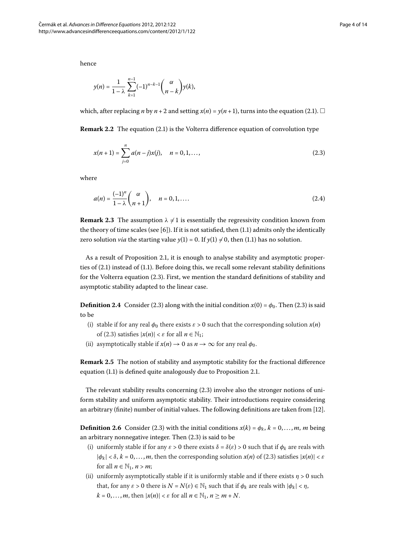hence

<span id="page-3-0"></span>
$$
y(n) = \frac{1}{1 - \lambda} \sum_{k=1}^{n-1} (-1)^{n-k-1} { \alpha \choose n-k} y(k),
$$

which, after replacing *n* by *n* + 2 and setting  $x(n) = y(n + 1)$ , turns into the equation (2[.](#page-2-2)1).  $\Box$ 

**Remark 2[.](#page-2-2)2** The equation (2.1) is the Volterra difference equation of convolution type

<span id="page-3-1"></span>
$$
x(n+1) = \sum_{j=0}^{n} a(n-j)x(j), \quad n = 0, 1, ..., \tag{2.3}
$$

where

$$
a(n) = \frac{(-1)^n}{1 - \lambda} \binom{\alpha}{n+1}, \quad n = 0, 1, \dots
$$
\n(2.4)

**Remark 2.3** The assumption  $\lambda \neq 1$  is essentially the regressivity condition known from the theory of time scales (see  $[6]$  $[6]$ ). If it is not satisfied, then  $(1.1)$  admits only the identically zero solution *via* the starting value  $y(1) = 0$ [.](#page-0-2) If  $y(1) \neq 0$ , then (1.1) has no solution.

As a result of Proposition 2[.](#page-2-3)1, it is enough to analyse stability and asymptotic properties of  $(2.1)$  $(2.1)$  $(2.1)$  instead of  $(1.1)$ . Before doing this, we recall some relevant stability definitions for the Volterra equation  $(2.3)$ . First, we mention the standard definitions of stability and asymptotic stability adapted to the linear case.

**Definition 2.4** Consider (2.3) along with the initial condition  $x(0) = \phi_0$ . Then (2.3) is said to be

- (i) stable if for any real  $\phi_0$  there exists  $\varepsilon > 0$  such that the corresponding solution  $x(n)$ of (2.3) satisfies  $|x(n)| < \varepsilon$  for all  $n \in \mathbb{N}_1$ ;
- (ii) asymptotically stable if  $x(n) \to 0$  as  $n \to \infty$  for any real  $\phi_0$ .

**Remark 2.5** The notion of stability and asymptotic stability for the fractional difference equation  $(1.1)$  $(1.1)$  $(1.1)$  is defined quite analogously due to Proposition 2.1.

The relevant stability results concerning  $(2.3)$  involve also the stronger notions of uniform stability and uniform asymptotic stability. Their introductions require considering an arbitrary (finite) number of initial values. The following definitions are taken from [12[\]](#page-12-8).

**Definition 2[.](#page-3-0)6** Consider (2.3) with the initial conditions  $x(k) = \phi_k$ ,  $k = 0, \ldots, m$ , *m* being an arbitrary nonnegative integer. Then  $(2.3)$  is said to be

- (i) uniformly stable if for any  $\varepsilon > 0$  there exists  $\delta = \delta(\varepsilon) > 0$  such that if  $\phi_k$  are reals with  $|\phi_k| < \delta$ ,  $k = 0, \ldots, m$ , then the corresponding solution  $x(n)$  of (2.3) satisfies  $|x(n)| < \varepsilon$ for all  $n \in \mathbb{N}_1$ ,  $n > m$ ;
- (ii) uniformly asymptotically stable if it is uniformly stable and if there exists  $\eta > 0$  such that, for any  $\varepsilon > 0$  there is  $N = N(\varepsilon) \in \mathbb{N}_1$  such that if  $\phi_k$  are reals with  $|\phi_k| < \eta$ ,  $k = 0, \ldots, m$ , then  $|x(n)| < \varepsilon$  for all  $n \in \mathbb{N}_1$ ,  $n \geq m + N$ .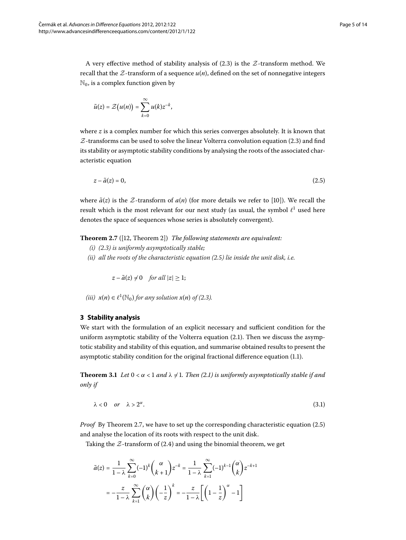A very effective method of stability analysis of  $(2.3)$  is the  $Z$ -transform method. We recall that the  $Z$ -transform of a sequence  $u(n)$ , defined on the set of nonnegative integers  $\mathbb{N}_0$ , is a complex function given by

<span id="page-4-1"></span>
$$
\tilde{u}(z) = \mathcal{Z}(u(n)) = \sum_{k=0}^{\infty} u(k) z^{-k},
$$

where *z* is a complex number for which this series converges absolutely. It is known that  $Z$ -transforms can be used to solve the linear Volterra convolution equation (2.3) and find its stability or asymptotic stability conditions by analysing the roots of the associated characteristic equation

<span id="page-4-2"></span> $z - \tilde{a}(z) = 0,$  (2.5)

where  $\tilde{a}(z)$  is the Z-transform of  $a(n)$  (for more details we refer to [\[](#page-12-9)10]). We recall the result which is the most relevant for our next study (as usual, the symbol  $\ell^1$  used here denotes the space of sequences whose series is absolutely convergent).

<span id="page-4-0"></span>**Theorem 2.7** ([12, Theorem 2]) *The following statements are equivalent:* 

- *(i) ([.\)](#page-3-0) is uniformly asymptotically stable;*
- *(ii) all the roots of the characteristic equation ([.\)](#page-4-1) lie inside the unit disk, i.e.*

<span id="page-4-4"></span> $z - \tilde{a}(z) \neq 0$  for all  $|z| \geq 1$ ;

 $(iii)$   $x(n) \in \ell^1(\mathbb{N}_0)$  for any solution  $x(n)$  of (2.3).

#### <span id="page-4-3"></span>**3 Stability analysis**

We start with the formulation of an explicit necessary and sufficient condition for the uniform asymptotic stability of the Volterra equation  $(2.1)$ . Then we discuss the asymptotic stability and stability of this equation, and summarise obtained results to present the asymptotic stability condition for the original fractional difference equation (1.1).

**Theorem 3.1** Let  $0 < \alpha < 1$  and  $\lambda \neq 1$ . Then (2.1) is uniformly asymptotically stable if and *only if*

$$
\lambda < 0 \quad \text{or} \quad \lambda > 2^{\alpha}.\tag{3.1}
$$

*Proof* By Theorem 2[.](#page-4-1)7, we have to set up the corresponding characteristic equation (2.5) and analyse the location of its roots with respect to the unit disk.

Taking the  $Z$ -transform of (2.4) and using the binomial theorem, we get

$$
\tilde{a}(z) = \frac{1}{1-\lambda} \sum_{k=0}^{\infty} (-1)^k { \alpha \choose k+1} z^{-k} = \frac{1}{1-\lambda} \sum_{k=1}^{\infty} (-1)^{k-1} { \alpha \choose k} z^{-k+1}
$$

$$
= -\frac{z}{1-\lambda} \sum_{k=1}^{\infty} { \alpha \choose k} \left(-\frac{1}{z}\right)^k = -\frac{z}{1-\lambda} \left[ \left(1 - \frac{1}{z}\right)^{\alpha} - 1 \right]
$$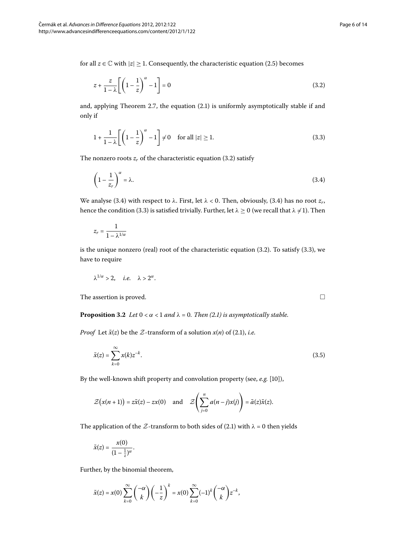for all  $z \in \mathbb{C}$  with  $|z| \geq 1$ . Consequently, the characteristic equation (2.5) becomes

<span id="page-5-2"></span><span id="page-5-0"></span>
$$
z + \frac{z}{1 - \lambda} \left[ \left( 1 - \frac{1}{z} \right)^{\alpha} - 1 \right] = 0 \tag{3.2}
$$

and, applying Theorem 2[.](#page-4-2)7, the equation  $(2.1)$  is uniformly asymptotically stable if and only if

<span id="page-5-1"></span>
$$
1 + \frac{1}{1 - \lambda} \left[ \left( 1 - \frac{1}{z} \right)^{\alpha} - 1 \right] \neq 0 \quad \text{for all } |z| \ge 1.
$$
 (3.3)

The nonzero roots  $z_r$  of the characteristic equation (3.2) satisfy

$$
\left(1 - \frac{1}{z_r}\right)^{\alpha} = \lambda.
$$
\n(3.4)

We analyse (3[.](#page-5-1)4) with respect to  $\lambda$ . First, let  $\lambda < 0$ . Then, obviously, (3.4) has no root  $z_r$ , hence the condition (3.3) is satisfied trivially. Further, let  $\lambda \ge 0$  (we recall that  $\lambda \ne 1$ ). Then

$$
z_r = \frac{1}{1 - \lambda^{1/\alpha}}
$$

<span id="page-5-4"></span>is the unique nonzero (real) root of the characteristic equation  $(3.2)$ . To satisfy  $(3.3)$ , we have to require

<span id="page-5-3"></span>
$$
\lambda^{1/\alpha} > 2, \quad i.e. \quad \lambda > 2^{\alpha}.
$$

The assertion is proved.  $\Box$ 

**Proposition 3.2** *Let*  $0 < \alpha < 1$  *and*  $\lambda = 0$ *. Then* (2*.1) is asymptotically stable.* 

*Proof* Let  $\tilde{x}(z)$  be the  $\mathcal{Z}$ -transform of a solution  $x(n)$  of (2.1), *i.e.* 

$$
\tilde{x}(z) = \sum_{k=0}^{\infty} x(k) z^{-k}.
$$
\n(3.5)

By the well-known shift property and convolution property (see, e.g. [10[\]](#page-12-9)),

$$
\mathcal{Z}\big(x(n+1)\big) = z\tilde{x}(z) - zx(0) \quad \text{and} \quad \mathcal{Z}\left(\sum_{j=0}^n a(n-j)x(j)\right) = \tilde{a}(z)\tilde{x}(z).
$$

The application of the  $Z$ -transform to both sides of (2[.](#page-2-2)1) with  $\lambda = 0$  then yields

$$
\tilde{x}(z) = \frac{x(0)}{(1-\frac{1}{z})^{\alpha}}.
$$

Further, by the binomial theorem,

$$
\tilde{x}(z) = x(0) \sum_{k=0}^{\infty} {\binom{-\alpha}{k}} {\left(-\frac{1}{z}\right)^k} = x(0) \sum_{k=0}^{\infty} (-1)^k {\binom{-\alpha}{k}} z^{-k},
$$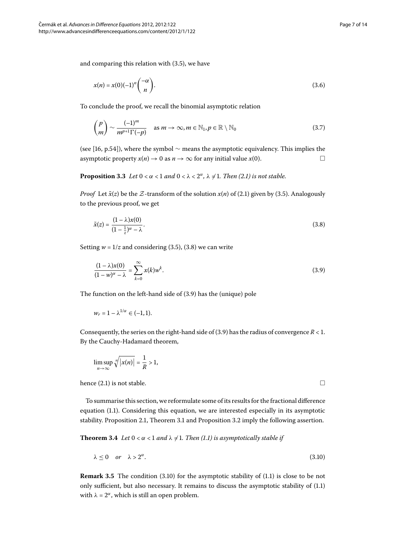and comparing this relation with  $(3.5)$ , we have

<span id="page-6-4"></span><span id="page-6-3"></span>
$$
x(n) = x(0)(-1)^n \binom{-\alpha}{n}.
$$
\n
$$
(3.6)
$$

To conclude the proof, we recall the binomial asymptotic relation

<span id="page-6-0"></span>
$$
\binom{p}{m} \sim \frac{(-1)^m}{m^{p+1}\Gamma(-p)} \quad \text{as } m \to \infty, m \in \mathbb{N}_1, p \in \mathbb{R} \setminus \mathbb{N}_0 \tag{3.7}
$$

(see [\[](#page-12-10)16, p.54]), where the symbol  $\sim$  means the asymptotic equivalency. This implies the asymptotic property  $x(n) \to 0$  as  $n \to \infty$  for any initial value  $x(0)$ .

**Proposition 3.3** Let  $0 < \alpha < 1$  and  $0 < \lambda < 2^{\alpha}$ ,  $\lambda \neq 1$ . Then (2.1) is not stable.

*Proof* Let  $\tilde{x}(z)$  be the Z-transform of the solution  $x(n)$  of (2.1) given by (3.5). Analogously to the previous proof, we get

<span id="page-6-1"></span>
$$
\tilde{x}(z) = \frac{(1 - \lambda)x(0)}{(1 - \frac{1}{z})^{\alpha} - \lambda}.
$$
\n(3.8)

Setting  $w = 1/z$  and considering (3.5), (3.8) we can write

$$
\frac{(1-\lambda)x(0)}{(1-w)^{\alpha}-\lambda}=\sum_{k=0}^{\infty}x(k)w^{k}.
$$
\n(3.9)

The function on the left-hand side of  $(3.9)$  has the (unique) pole

$$
w_r=1-\lambda^{1/\alpha}\in(-1,1).
$$

Consequently, the series on the right-hand side of (3.9) has the radius of convergence  $R < 1$ . By the Cauchy-Hadamard theorem,

<span id="page-6-2"></span>
$$
\limsup_{n\to\infty}\sqrt[n]{|x(n)|}=\frac{1}{R}>1,
$$

hence (2.1) is not stable.  $\Box$ 

To summarise this section, we reformulate some of its results for the fractional difference equation (1[.](#page-0-2)1). Considering this equation, we are interested especially in its asymptotic stability[.](#page-5-4) Proposition 2.1, Theorem 3.1 and Proposition 3.2 imply the following assertion.

**Theorem 3[.](#page-0-2)4** Let  $0 < \alpha < 1$  and  $\lambda \neq 1$ . Then (1.1) is asymptotically stable if

$$
\lambda \le 0 \quad or \quad \lambda > 2^{\alpha}.\tag{3.10}
$$

**Remark 3.5** The condition (3.10) for the asymptotic stability of (1.1) is close to be not only sufficient, but also necessary[.](#page-0-2) It remains to discuss the asymptotic stability of (1.1) with  $\lambda = 2^{\alpha}$ , which is still an open problem.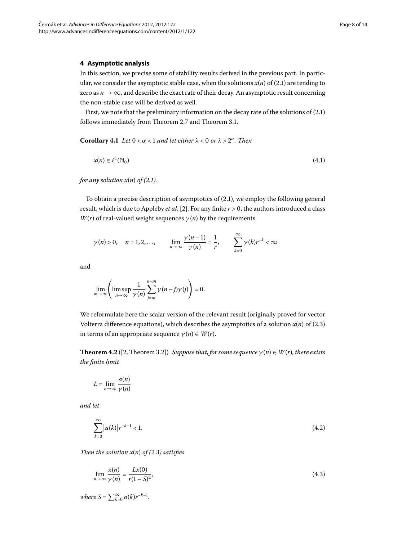#### <span id="page-7-0"></span>**4 Asymptotic analysis**

<span id="page-7-4"></span>In this section, we precise some of stability results derived in the previous part. In particular, we consider the asymptotic stable case, when the solutions  $x(n)$  of (2.1) are tending to zero as  $n \to \infty$ , and describe the exact rate of their decay. An asymptotic result concerning the non-stable case will be derived as well.

First, we note that the preliminary information on the decay rate of the solutions of  $(2.1)$  $(2.1)$  $(2.1)$ follows immediately from Theorem 2[.](#page-4-3)7 and Theorem 3.1.

**Corollary 4.1** *Let*  $0 < \alpha < 1$  *and let either*  $\lambda < 0$  *or*  $\lambda > 2^{\alpha}$ *. Then* 

<span id="page-7-5"></span>
$$
x(n) \in \ell^1(\mathbb{N}_0) \tag{4.1}
$$

*for any solution*  $x(n)$  *of* (2[.](#page-2-2)1).

To obtain a precise description of asymptotics of  $(2.1)$ , we employ the following general result, which is due to Appleby *et al.* [\[](#page-12-11)2]. For any finite  $r > 0$ , the authors introduced a class *W*(*r*) of real-valued weight sequences  $\gamma(n)$  by the requirements

$$
\gamma(n) > 0, \quad n = 1, 2, \dots, \qquad \lim_{n \to \infty} \frac{\gamma(n-1)}{\gamma(n)} = \frac{1}{r}, \qquad \sum_{k=0}^{\infty} \gamma(k) r^{-k} < \infty
$$

and

<span id="page-7-1"></span>
$$
\lim_{m\to\infty}\left(\limsup_{n\to\infty}\frac{1}{\gamma(n)}\sum_{j=m}^{n-m}\gamma(n-j)\gamma(j)\right)=0.
$$

We reformulate here the scalar version of the relevant result (originally proved for vector Volterra difference equations), which describes the asymptotics of a solution  $x(n)$  of (2[.](#page-3-0)3) in terms of an appropriate sequence  $\gamma(n) \in W(r)$ .

**Theorem 4.2** ([2[,](#page-12-11) Theorem 3.2]) *Suppose that, for some sequence*  $\gamma(n) \in W(r)$ *, there exists the finite limit*

<span id="page-7-2"></span>
$$
L = \lim_{n \to \infty} \frac{a(n)}{\gamma(n)}
$$

*and let*

<span id="page-7-3"></span>
$$
\sum_{k=0}^{\infty} |a(k)| r^{-k-1} < 1. \tag{4.2}
$$

*Then the solution*  $x(n)$  *of* (2.3) *satisfies* 

$$
\lim_{n \to \infty} \frac{x(n)}{\gamma(n)} = \frac{Lx(0)}{r(1-S)^2},\tag{4.3}
$$

*where*  $S = \sum_{k=0}^{\infty} a(k)r^{-k-1}$ .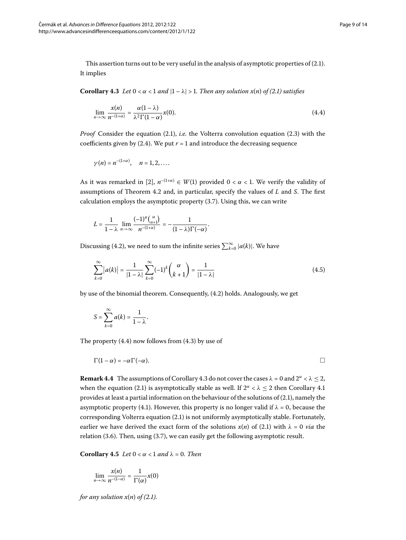<span id="page-8-1"></span>This assertion turns out to be very useful in the analysis of asymptotic properties of  $(2.1)$ . It implies

**Corollary 4[.](#page-2-2)3** Let  $0 < \alpha < 1$  and  $|1 - \lambda| > 1$ . Then any solution  $x(n)$  of (2.1) satisfies

$$
\lim_{n \to \infty} \frac{x(n)}{n^{-(1+\alpha)}} = \frac{\alpha(1-\lambda)}{\lambda^2 \Gamma(1-\alpha)} x(0).
$$
\n(4.4)

*Proof* Consider the equation (2[.](#page-2-2)1), *i.e.* the Volterra convolution equation (2.3) with the coefficients given by (2.4). We put  $r = 1$  and introduce the decreasing sequence

$$
\gamma(n)=n^{-(1+\alpha)}, \quad n=1,2,\ldots.
$$

As it was remarked in [\[](#page-12-11)2],  $n^{-(1+\alpha)} \in W(1)$  provided  $0 < \alpha < 1$ . We verify the validity of assumptions of Theorem 4[.](#page-7-1)2 and, in particular, specify the values of *L* and *S*. The first calculation employs the asymptotic property  $(3.7)$ . Using this, we can write

$$
L = \frac{1}{1 - \lambda} \lim_{n \to \infty} \frac{(-1)^n \binom{\alpha}{n+1}}{n^{-(1+\alpha)}} = -\frac{1}{(1 - \lambda)\Gamma(-\alpha)}
$$

Discussing (4[.](#page-7-2)2), we need to sum the infinite series  $\sum_{k=0}^{\infty} |a(k)|$ . We have

$$
\sum_{k=0}^{\infty} |a(k)| = \frac{1}{|1-\lambda|} \sum_{k=0}^{\infty} (-1)^k { \alpha \choose k+1} = \frac{1}{|1-\lambda|}
$$
(4.5)

<span id="page-8-2"></span><span id="page-8-0"></span>.

by use of the binomial theorem. Consequently, (4.2) holds. Analogously, we get

$$
S=\sum_{k=0}^{\infty}a(k)=\frac{1}{1-\lambda}.
$$

The property  $(4.4)$  now follows from  $(4.3)$  by use of

$$
\Gamma(1-\alpha) = -\alpha \Gamma(-\alpha).
$$

**Remark 4[.](#page-8-1)4** The assumptions of Corollary 4.3 do not cover the cases  $\lambda = 0$  and  $2^{\alpha} < \lambda \leq 2$ , when the equation (2[.](#page-7-4)1) is asymptotically stable as well. If  $2^{\alpha} < \lambda \leq 2$  then Corollary 4.1 provides at least a partial information on the behaviour of the solutions of  $(2.1)$ , namely the asymptotic property (4.1). However, this property is no longer valid if  $\lambda = 0$ , because the corresponding Volterra equation  $(2.1)$  $(2.1)$  $(2.1)$  is not uniformly asymptotically stable. Fortunately, earlier we have derived the exact form of the solutions  $x(n)$  of (2.1) with  $\lambda = 0$  via the relation (3.6). Then, using (3.7), we can easily get the following asymptotic result.

**Corollary 4.5** *Let*  $0 < \alpha < 1$  *and*  $\lambda = 0$ *. Then* 

$$
\lim_{n\to\infty}\frac{x(n)}{n^{-(1-\alpha)}}=\frac{1}{\Gamma(\alpha)}x(0)
$$

*for any solution*  $x(n)$  *of* (2[.](#page-2-2)1).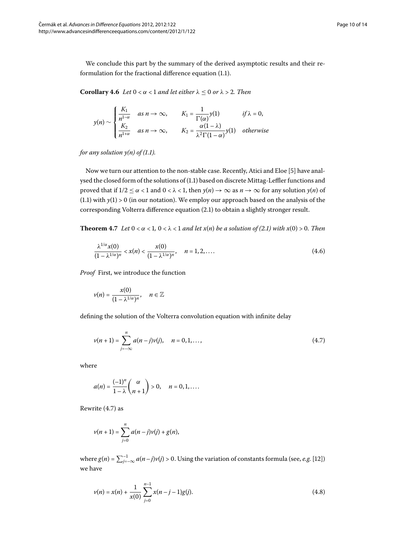<span id="page-9-3"></span>We conclude this part by the summary of the derived asymptotic results and their reformulation for the fractional difference equation  $(1.1)$ .

**Corollary 4.6** Let  $0 < \alpha < 1$  and let either  $\lambda \leq 0$  or  $\lambda > 2$ . Then

$$
y(n) \sim \begin{cases} \frac{K_1}{n^{1-\alpha}} & \text{as } n \to \infty, \\ \frac{K_2}{n^{1+\alpha}} & \text{as } n \to \infty, \end{cases} \qquad K_1 = \frac{1}{\Gamma(\alpha)} y(1) \qquad \text{if } \lambda = 0, \\ \frac{K_2}{n^{1+\alpha}} & \text{as } n \to \infty, \qquad K_2 = \frac{\alpha(1-\lambda)}{\lambda^2 \Gamma(1-\alpha)} y(1) \quad \text{otherwise} \end{cases}
$$

*for any solution*  $y(n)$  *of (1[.](#page-0-2)1).* 

Now we turn our attention to the non-stable case. Recently, Atici and Eloe [\[](#page-12-4)5] have anal-ysed the closed form of the solutions of (1[.](#page-0-2)1) based on discrete Mittag-Leffler functions and proved that if  $1/2 \le \alpha < 1$  and  $0 < \lambda < 1$ , then  $y(n) \to \infty$  as  $n \to \infty$  for any solution  $y(n)$  of  $(1.1)$  $(1.1)$  $(1.1)$  with  $y(1) > 0$  (in our notation). We employ our approach based on the analysis of the corresponding Volterra difference equation (2[.](#page-2-2)1) to obtain a slightly stronger result.

**Theorem 4.7** Let  $0 < \alpha < 1$ ,  $0 < \lambda < 1$  and let  $x(n)$  be a solution of (2.1) with  $x(0) > 0$ . Then

<span id="page-9-2"></span>
$$
\frac{\lambda^{1/\alpha}x(0)}{(1-\lambda^{1/\alpha})^n} < x(n) < \frac{x(0)}{(1-\lambda^{1/\alpha})^n}, \quad n = 1, 2, \dots \tag{4.6}
$$

*Proof* First, we introduce the function

<span id="page-9-0"></span>
$$
v(n)=\frac{x(0)}{(1-\lambda^{1/\alpha})^n}, \quad n \in \mathbb{Z}
$$

defining the solution of the Volterra convolution equation with infinite delay

$$
v(n+1) = \sum_{j=-\infty}^{n} a(n-j)v(j), \quad n = 0, 1, ..., \tag{4.7}
$$

where

$$
a(n)=\frac{(-1)^n}{1-\lambda}\binom{\alpha}{n+1}>0,\quad n=0,1,\ldots.
$$

Rewrite  $(4.7)$  $(4.7)$  $(4.7)$  as

<span id="page-9-1"></span>
$$
v(n + 1) = \sum_{j=0}^{n} a(n - j)v(j) + g(n),
$$

where  $g(n) = \sum_{j=-\infty}^{-1} a(n-j)\nu(j) > 0$ . Using the variation of constants formula (see, *e.g.* [12[\]](#page-12-8)) we have

$$
\nu(n) = x(n) + \frac{1}{x(0)} \sum_{j=0}^{n-1} x(n-j-1)g(j).
$$
 (4.8)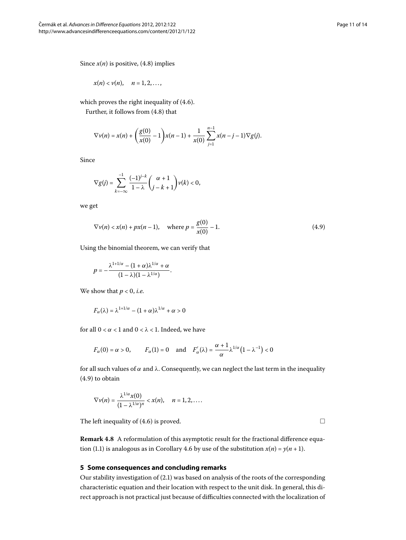Since  $x(n)$  is positive, (4[.](#page-9-1)8) implies

$$
x(n) < v(n), \quad n = 1, 2, \ldots,
$$

which proves the right inequality of  $(4.6)$ .

Further, it follows from  $(4.8)$  that

$$
\nabla v(n) = x(n) + \left(\frac{g(0)}{x(0)} - 1\right) x(n-1) + \frac{1}{x(0)} \sum_{j=1}^{n-1} x(n-j-1) \nabla g(j).
$$

Since

<span id="page-10-1"></span>
$$
\nabla g(j)=\sum_{k=-\infty}^{-1}\frac{(-1)^{j-k}}{1-\lambda}\binom{\alpha+1}{j-k+1}\nu(k)<0,
$$

we get

$$
\nabla v(n) < x(n) + px(n-1), \quad \text{where } p = \frac{g(0)}{x(0)} - 1. \tag{4.9}
$$

Using the binomial theorem, we can verify that

$$
p = -\frac{\lambda^{1+1/\alpha} - (1+\alpha)\lambda^{1/\alpha} + \alpha}{(1-\lambda)(1-\lambda^{1/\alpha})}
$$

We show that  $p < 0$ , *i.e.* 

$$
F_{\alpha}(\lambda) = \lambda^{1+1/\alpha} - (1+\alpha)\lambda^{1/\alpha} + \alpha > 0
$$

for all  $0 < \alpha < 1$  and  $0 < \lambda < 1$ . Indeed, we have

$$
F_{\alpha}(0) = \alpha > 0
$$
,  $F_{\alpha}(1) = 0$  and  $F'_{\alpha}(\lambda) = \frac{\alpha + 1}{\alpha} \lambda^{1/\alpha} (1 - \lambda^{-1}) < 0$ 

for all such values of  $\alpha$  and  $\lambda$ . Consequently, we can neglect the last term in the inequality  $(4.9)$  to obtain

$$
\nabla v(n) = \frac{\lambda^{1/\alpha} x(0)}{(1 - \lambda^{1/\alpha})^n} < x(n), \quad n = 1, 2, \dots
$$

<span id="page-10-0"></span>The left inequality of  $(4.6)$  is proved.

**Remark 4.8** A reformulation of this asymptotic result for the fractional difference equa-tion (1[.](#page-9-3)1) is analogous as in Corollary 4.6 by use of the substitution  $x(n) = y(n + 1)$ .

#### **5 Some consequences and concluding remarks**

Our stability investigation of  $(2.1)$  was based on analysis of the roots of the corresponding characteristic equation and their location with respect to the unit disk. In general, this direct approach is not practical just because of difficulties connected with the localization of

 $\Box$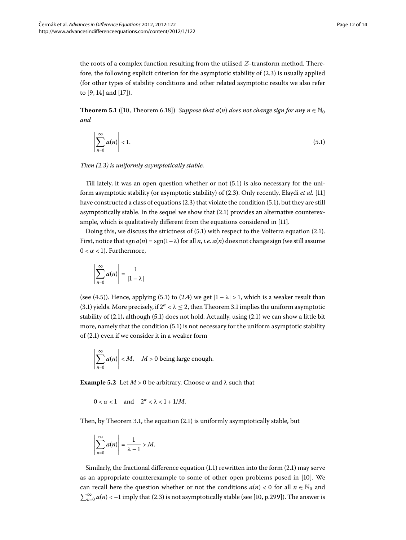the roots of a complex function resulting from the utilised  $Z$ -transform method. Therefore, the following explicit criterion for the asymptotic stability of  $(2.3)$  is usually applied (for other types of stability conditions and other related asymptotic results we also refer to [\[](#page-12-14)9, 14] and [17]).

**Theorem 5.1** ([10[,](#page-12-9) Theorem 6.18]) *Suppose that a*(*n*) *does not change sign for any n*  $\in \mathbb{N}_0$ *and*

<span id="page-11-0"></span>
$$
\left|\sum_{n=0}^{\infty} a(n)\right| < 1. \tag{5.1}
$$

*Then ([.](#page-3-0)) is uniformly asymptotically stable.*

Till lately, it was an open question whether or not  $(5.1)$  is also necessary for the uniform asymptotic stability (or asymptotic stability) of (2.3). Only recently, Elaydi *et al.* [11] have constructed a class of equations  $(2.3)$  $(2.3)$  $(2.3)$  that violate the condition  $(5.1)$ , but they are still asymptotically stable. In the sequel we show that  $(2.1)$  provides an alternative counterexample, which is qualitatively different from the equations considered in [11].

Doing this, we discuss the strictness of  $(5.1)$  with respect to the Volterra equation  $(2.1)$ . First, notice that  $\text{sgn}(n) = \text{sgn}(1-\lambda)$  for all *n*, *i.e.*  $a(n)$  does not change sign (we still assume  $0 < \alpha < 1$ ). Furthermore,

$$
\left|\sum_{n=0}^{\infty} a(n)\right| = \frac{1}{|1-\lambda|}
$$

(see (4.5)). Hence, applying (5.1) to (2.4) we get  $|1 - \lambda| > 1$ , which is a weaker result than (3[.](#page-4-3)1) yields. More precisely, if  $2^{\alpha} < \lambda \leq 2$ , then Theorem 3.1 implies the uniform asymptotic stability of  $(2.1)$ , although  $(5.1)$  does not hold. Actually, using  $(2.1)$  we can show a little bit more, namely that the condition  $(5.1)$  is not necessary for the uniform asymptotic stability of  $(2.1)$  even if we consider it in a weaker form

$$
\left|\sum_{n=0}^{\infty} a(n)\right| < M, \quad M > 0 \text{ being large enough.}
$$

**Example 5.2** Let  $M > 0$  be arbitrary. Choose  $\alpha$  and  $\lambda$  such that

$$
0 < \alpha < 1 \quad \text{and} \quad 2^{\alpha} < \lambda < 1 + 1/M.
$$

Then, by Theorem 3[.](#page-4-3)1, the equation  $(2.1)$  is uniformly asymptotically stable, but

$$
\left|\sum_{n=0}^{\infty} a(n)\right| = \frac{1}{\lambda - 1} > M.
$$

Similarly, the fractional difference equation  $(1.1)$  rewritten into the form  $(2.1)$  may serve as an appropriate counterexample to some of other open problems posed in [10]. We can recall here the question whether or not the conditions  $a(n) < 0$  for all  $n \in \mathbb{N}_0$  and  $\sum_{n=0}^{\infty} a(n) < -1$  imply that (2.3) is not asymptotically stable (see [10, p.299]). The answer is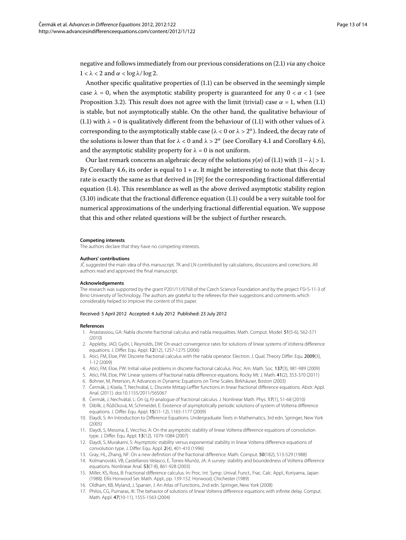negative and follows immediately from our previous considerations on (2.1) *via* any choice  $1 < \lambda < 2$  and  $\alpha < \log \lambda / \log 2$ .

Another specific qualitative properties of  $(1.1)$  $(1.1)$  $(1.1)$  can be observed in the seemingly simple case  $\lambda = 0$ , when the asymptotic stability property is guaranteed for any  $0 < \alpha < 1$  (see Proposition 3[.](#page-0-2)2). This result does not agree with the limit (trivial) case  $\alpha = 1$ , when (1.1) is stable, but not asymptotically stable. On the other hand, the qualitative behaviour of (1[.](#page-0-2)1) with  $\lambda = 0$  is qualitatively different from the behaviour of (1.1) with other values of  $\lambda$ corresponding to the asymptotically stable case ( $\lambda < 0$  or  $\lambda > 2^{\alpha}$ ). Indeed, the decay rate of the solutions is lower than that for  $\lambda < 0$  and  $\lambda > 2^{\alpha}$  (see Corollary 4[.](#page-7-4)1 and Corollary 4.6), and the asymptotic stability property for  $\lambda = 0$  is not uniform.

Our last remark concerns an algebraic decay of the solutions  $y(n)$  of (1.1) with  $|1 - \lambda| > 1$ . By Corollary 4[.](#page-9-3)6, its order is equal to  $1 + \alpha$ . It might be interesting to note that this decay rate is exactly the same as that derived in [\[](#page-13-1)] for the corresponding fractional differential equation  $(1.4)$ . This resemblance as well as the above derived asymptotic stability region  $(3.10)$  $(3.10)$  $(3.10)$  indicate that the fractional difference equation  $(1.1)$  could be a very suitable tool for numerical approximations of the underlying fractional differential equation. We suppose that this and other related questions will be the subject of further research.

#### **Competing interests**

The authors declare that they have no competing interests.

#### **Authors' contributions**

<span id="page-12-3"></span>JC suggested the main idea of this manuscript. TK and LN contributed by calculations, discussions and corrections. All authors read and approved the final manuscript.

#### <span id="page-12-11"></span>**Acknowledgements**

<span id="page-12-1"></span>The research was supported by the grant P201/11/0768 of the Czech Science Foundation and by the project FSI-S-11-3 of Brno University of Technology. The authors are grateful to the referees for their suggestions and comments which considerably helped to improve the content of this paper.

#### <span id="page-12-7"></span><span id="page-12-4"></span>Received: 5 April 2012 Accepted: 4 July 2012 Published: 23 July 2012

#### <span id="page-12-6"></span><span id="page-12-0"></span>**References**

- 1. Anastassiou, GA: Nabla discrete fractional calculus and nabla inequalities. Math. Comput. Model. 51(5-6), 562-571 (2010)
- <span id="page-12-12"></span>2. Appleby, JAD, Győri, I, Reynolds, DW: On exact convergence rates for solutions of linear systems of Volterra difference equations. J. Differ. Equ. Appl. 12(12), 1257-1275 (2006)
- <span id="page-12-9"></span>3. Atici, FM, Eloe, PW: Discrete fractional calculus with the nabla operator. Electron. J. Qual. Theory Differ. Equ. 2009(3), 1-12 (2009)
- 4. Atici, FM, Eloe, PW: Initial value problems in discrete fractional calculus. Proc. Am. Math. Soc. 137(3), 981-989 (2009)
- <span id="page-12-15"></span>5. Atici, FM, Eloe, PW: Linear systems of fractional nabla difference equations. Rocky Mt. J. Math. 41(2), 353-370 (2011)
- <span id="page-12-8"></span>6. Bohner, M, Peterson, A: Advances in Dynamic Equations on Time Scales. Birkhäuser, Boston (2003)
- 7. Cermák, J, Kisela, T, Nechvátal, L: Discrete Mittag-Leffler functions in linear fractional difference equations. Abstr. Appl. ˇ Anal. (2011). doi:[10.1155/2011/565067](http://dx.doi.org/10.1155/2011/565067)
- <span id="page-12-13"></span><span id="page-12-2"></span>8. Čermák, J, Nechvátal, L: On  $(q, h)$ -analogue of fractional calculus. J. Nonlinear Math. Phys. 17(1), 51-68 (2010)
- 9. Diblík, J, Růžičková, M, Schmeidel, E: Existence of asymptotically periodic solutions of system of Volterra difference equations. J. Differ. Equ. Appl. 15(11-12), 1165-1177 (2009)
- <span id="page-12-10"></span><span id="page-12-5"></span>10. Elaydi, S: An Introduction to Difference Equations. Undergraduate Texts in Mathematics, 3rd edn. Springer, New York (2005)
- <span id="page-12-14"></span>11. Elaydi, S, Messina, E, Vecchio, A: On the asymptotic stability of linear Volterra difference equations of convolution type. J. Differ. Equ. Appl. 13(12), 1079-1084 (2007)
- 12. Elaydi, S, Murakami, S: Asymptotic stability versus exponential stability in linear Volterra difference equations of convolution type. J. Differ. Equ. Appl. 2(4), 401-410 (1996)
- 13. Gray, HL, Zhang, NF: On a new definition of the fractional difference. Math. Comput. 50(182), 513-529 (1988)
- 14. Kolmanovskii, VB, Castellanos-Velasco, E, Torres-Munõz, JA: A survey: stability and boundedness of Volterra difference equations. Nonlinear Anal. 53(7-8), 861-928 (2003)
- 15. Miller, KS, Ross, B: Fractional difference calculus. In: Proc. Int. Symp. Unival. Funct., Frac. Calc. Appl., Koriyama, Japan (1988). Ellis Horwood Ser. Math. Appl., pp. 139-152. Horwood, Chichester (1989)
- 16. Oldham, KB, Myland, J, Spanier, J: An Atlas of Functions, 2nd edn. Springer, New York (2008)
- 17. Philos, CG, Purnaras, IK: The behavior of solutions of linear Volterra difference equations with infinite delay. Comput. Math. Appl. 47(10-11), 1555-1563 (2004)